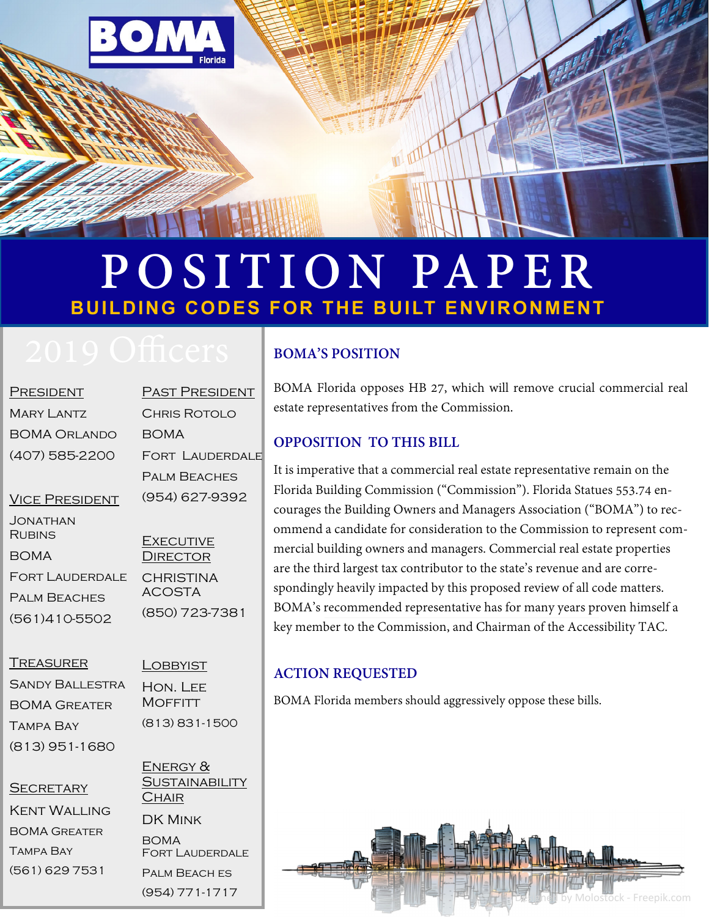

# **POSITION PAPER BUILDING CODES FOR THE BUILT ENVIRONMENT**

| <b>PRESIDENT</b>      | PAST PRESIDENT      |
|-----------------------|---------------------|
| <b>MARY LANTZ</b>     | CHRIS ROTOLO        |
| BOMA Orlando          | BOMA                |
| (407) 585-2200        | FORT LAUDERDAL      |
|                       | <b>PALM BEACHES</b> |
| <b>VICE PRESIDENT</b> | (954) 627-9392      |
| JONATHAN<br>RURING    |                     |

Rubins BOMA Fort Lauderdale Palm Beaches (561)410-5502

RIS ROTOLO  $MA$ rt Lauderdale **M BEACHES** 4) 627-9392 **EXECUTIVE DIRECTOR** CHRISTINA

ACOSTA (850) 723-7381

#### **TREASURER**

Sandy Ballestra BOMA Greater Tampa Bay (813) 951-1680

**LOBBYIST** Hon. Lee **MOFFITT** (813) 831-1500

#### **SECRETARY**

Kent Walling BOMA Greater Tampa Bay (561) 629 7531

ENERGY &

**SUSTAINABILITY CHAIR** DK Mink BOMA Fort Lauderdale Palm Beach es (954) 771-1717

### **BOMA'S POSITION**

BOMA Florida opposes HB 27, which will remove crucial commercial real estate representatives from the Commission.

#### **OPPOSITION TO THIS BILL**

It is imperative that a commercial real estate representative remain on the Florida Building Commission ("Commission"). Florida Statues 553.74 encourages the Building Owners and Managers Association ("BOMA") to recommend a candidate for consideration to the Commission to represent commercial building owners and managers. Commercial real estate properties are the third largest tax contributor to the state's revenue and are correspondingly heavily impacted by this proposed review of all code matters. BOMA's recommended representative has for many years proven himself a key member to the Commission, and Chairman of the Accessibility TAC.

#### **ACTION REQUESTED**

BOMA Florida members should aggressively oppose these bills.